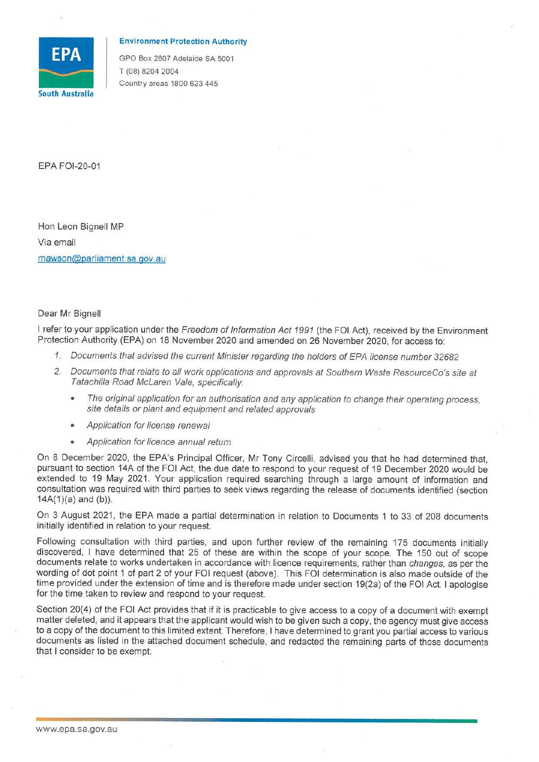

## **Environment Protection Authority**

GPO Box 2607 Adelaide SA 5001 T (08) 8204 2004 Country areas 1800 623 445

EPA FOl-20-01

Hon Leon Bignell MP Via email [mawson@parliament.sa.gov](mailto:mawson@parliament.sa.gov) .au

Dear Mr Bignell

I refer to your application under the Freedom of Information Act 1991 (the FOI Act), received by the Environment Protection Authority (EPA) on 18 November 2020 and amended on 26 November 2020, for access to:

- 1. Documents that advised the current Minister regarding the holders of EPA license number 32682
- 2. Documents that relate to all work applications and approvals at Southern Waste ResourceCo's site at Tatachilla Road McLaren Vale, specifically:
	- The original application for an authorisation and any application to change their operating process, site details or plant and equipment and related approvals
	- Application for license renewal
	- Application for licence annual return

On 8 December 2020, the EPA's Principal Officer, Mr Tony Circelli, advised you that he had determined that, pursuant to section 14A of the FOi Act, the due date to respond to your request of 19 December 2020 would be extended to 19 May 2021. Your application required searching through a large amount of information and consultation was required with third parties to seek views regarding the release of documents identified (section  $14A(1)(a)$  and  $(b)$ ).

On 3 August 2021, the EPA made a partial determination in relation to Documents 1 to 33 of 208 documents initially identified in relation to your request.

Following consultation with third parties, and upon further review of the remaining 175 documents initially discovered, I have determined that 25 of these are within the scope of your scope. The 150 out of scope documents relate to works undertaken in accordance with licence requirements, rather than changes, as per the wording of dot point 1 of part 2 of your FOi request (above). This FOi determination is also made outside of the time provided under the extension of time and is therefore made under section 19(2a) of the FOi Act. I apologise for the time taken to review and respond to your request.

Section 20(4) of the FOi Act provides that if it is practicable to give access to a copy of a document with exempt matter deleted, and it appears that the applicant would wish to be given such a copy, the agency must give access to a copy of the document to this limited extent. Therefore, I have determined to grant you partial access to various documents as listed in the attached document schedule, and redacted the remaining parts of those documents that I consider to be exempt.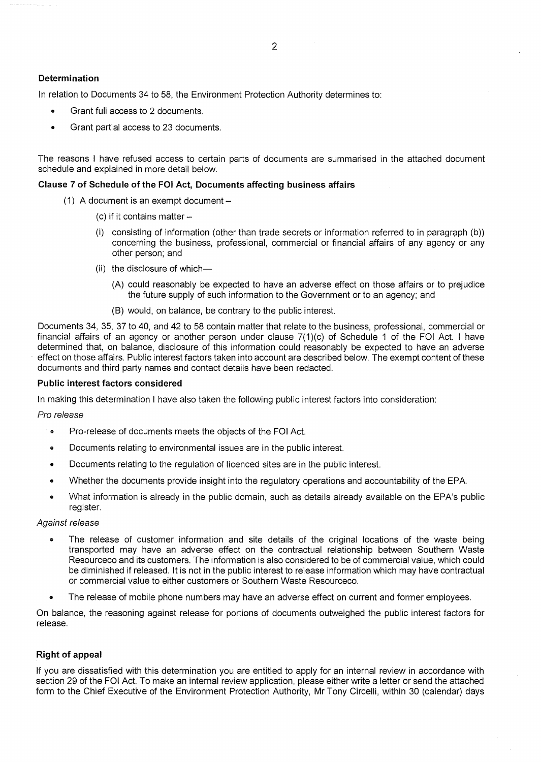# **Determination**

In relation to Documents 34 to 58, the Environment Protection Authority determines to:

- Grant full access to 2 documents.
- Grant partial access to 23 documents.

The reasons I have refused access to certain parts of documents are summarised in the attached document schedule and explained in more detail below.

## **Clause 7 of Schedule of the FOi Act, Documents affecting business affairs**

- (1) A document is an exempt document  $-$ 
	- (c) if it contains matter  $-$
	- (i) consisting of information (other than trade secrets or information referred to in paragraph (b)) concerning the business, professional, commercial or financial affairs of any agency or any other person; and
	- (ii) the disclosure of which-
		- (A) could reasonably be expected to have an adverse effect on those affairs or to prejudice the future supply of such information to the Government or to an agency; and
		- (8) would, on balance, be contrary to the public interest.

Documents 34, 35, 37 to 40, and 42 to 58 contain matter that relate to the business, professional, commercial or financial affairs of an agency or another person under clause 7(1)(c) of Schedule 1 of the FOI Act. I have determined that, on balance, disclosure of this information could reasonably be expected to have an adverse effect on those affairs. Public interest factors taken into account are described below. The exempt content of these documents and third party names and contact details have been redacted.

## **Public interest factors considered**

In making this determination I have also taken the following public interest factors into consideration:

### Pro release

- Pro-release of documents meets the objects of the FOi Act.
- Documents relating to environmental issues are in the public interest.
- Documents relating to the regulation of licenced sites are in the public interest.
- Whether the documents provide insight into the regulatory operations and accountability of the EPA.
- What information is already in the public domain, such as details already available on the EPA's public register.

### Against release

- The release of customer information and site details of the original locations of the waste being transported may have an adverse effect on the contractual relationship between Southern Waste Resourceco and its customers. The information is also considered to be of commercial value, which could be diminished if released. It is not in the public interest to release information which may have contractual or commercial value to either customers or Southern Waste Resourceco.
- The release of mobile phone numbers may have an adverse effect on current and former employees.

On balance, the reasoning against release for portions of documents outweighed the public interest factors for release.

# **Right of appeal**

If you are dissatisfied with this determination you are entitled to apply for an internal review in accordance with section 29 of the FOI Act. To make an internal review application, please either write a letter or send the attached form to the Chief Executive of the Environment Protection Authority, Mr Tony Circelli, within 30 (calendar) days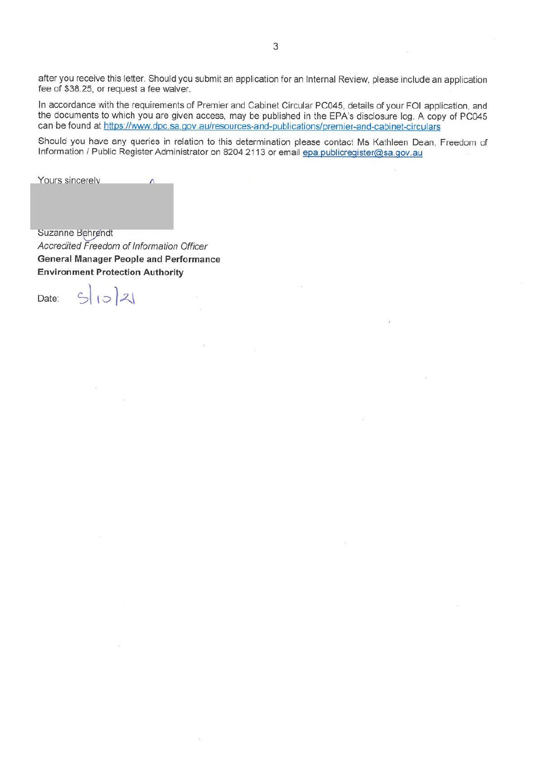after you receive this letter. Should you submit an application for an Internal Review, please include an application fee of \$38.25, or request a fee waiver.

In accordance with the requirements of Premier and Cabinet Circular PC045, details of your FOi application, and the documents to which you are given access, may be published in the EPA's disclosure log. A copy of PC045 can be found at https://www.dpc.sa.gov.au/resources-and-publications/premier-and-cabinet-circulars

Should you have any queries in relation to this determination please contact Ms Kathleen Dean, Freedom of Information / Public Register Administrator on 8204 2113 or email epa.publicregister@sa.gov.au

Yours sincerely

Suzanne Behrendt Accredited Freedom of Information Officer **General Manager People and Performance Environment Protection Authority** 

 $502$ 

Date: